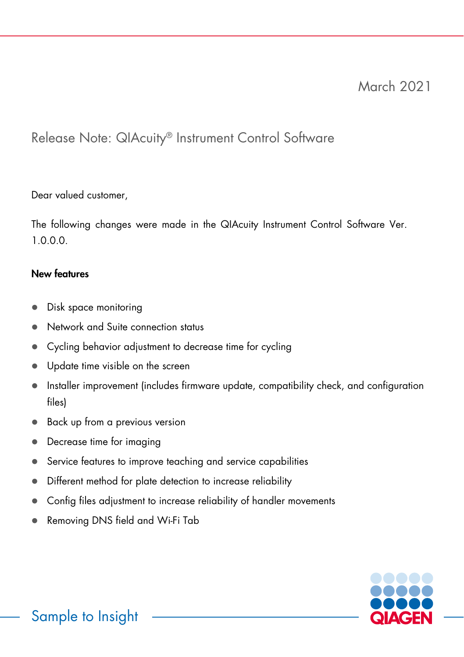# March 2021

## Release Note: QIAcuity® Instrument Control Software

### Dear valued customer,

The following changes were made in the QIAcuity Instrument Control Software Ver. 1.0.0.0.

### New features

- Disk space monitoring
- Network and Suite connection status
- Cycling behavior adjustment to decrease time for cycling
- Update time visible on the screen
- Installer improvement (includes firmware update, compatibility check, and configuration files)
- **Back up from a previous version**
- Decrease time for imaging
- Service features to improve teaching and service capabilities
- Different method for plate detection to increase reliability
- Config files adjustment to increase reliability of handler movements
- Removing DNS field and Wi-Fi Tab